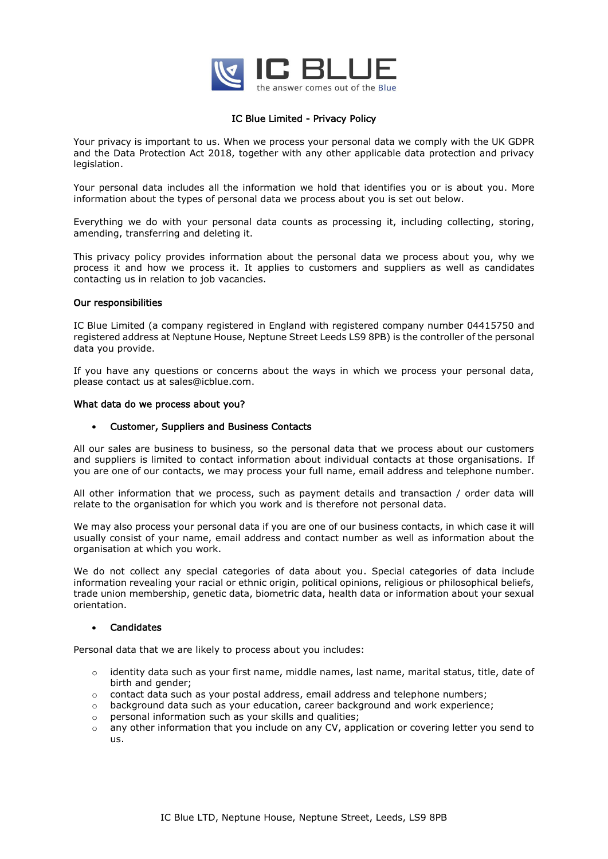

# IC Blue Limited - Privacy Policy

Your privacy is important to us. When we process your personal data we comply with the UK GDPR and the Data Protection Act 2018, together with any other applicable data protection and privacy legislation.

Your personal data includes all the information we hold that identifies you or is about you. More information about the types of personal data we process about you is set out below.

Everything we do with your personal data counts as processing it, including collecting, storing, amending, transferring and deleting it.

This privacy policy provides information about the personal data we process about you, why we process it and how we process it. It applies to customers and suppliers as well as candidates contacting us in relation to job vacancies.

### Our responsibilities

IC Blue Limited (a company registered in England with registered company number 04415750 and registered address at Neptune House, Neptune Street Leeds LS9 8PB) is the controller of the personal data you provide.

If you have any questions or concerns about the ways in which we process your personal data, please contact us at sales@icblue.com.

### What data do we process about you?

## • Customer, Suppliers and Business Contacts

All our sales are business to business, so the personal data that we process about our customers and suppliers is limited to contact information about individual contacts at those organisations. If you are one of our contacts, we may process your full name, email address and telephone number.

All other information that we process, such as payment details and transaction / order data will relate to the organisation for which you work and is therefore not personal data.

We may also process your personal data if you are one of our business contacts, in which case it will usually consist of your name, email address and contact number as well as information about the organisation at which you work.

We do not collect any special categories of data about you. Special categories of data include information revealing your racial or ethnic origin, political opinions, religious or philosophical beliefs, trade union membership, genetic data, biometric data, health data or information about your sexual orientation.

#### **Candidates**

Personal data that we are likely to process about you includes:

- $\circ$  identity data such as your first name, middle names, last name, marital status, title, date of birth and gender;
- $\circ$  contact data such as your postal address, email address and telephone numbers;
- o background data such as your education, career background and work experience;
- o personal information such as your skills and qualities;
- $\circ$  any other information that you include on any CV, application or covering letter you send to us.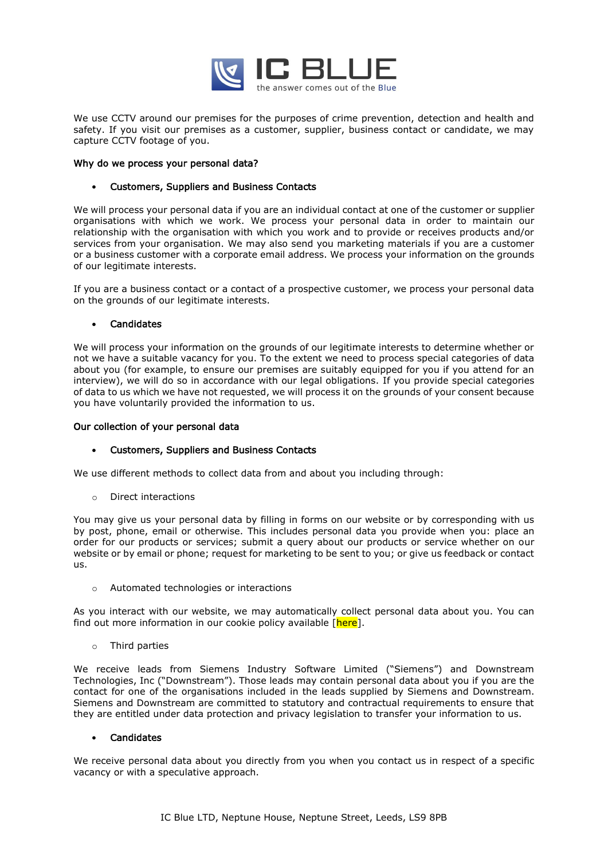

We use CCTV around our premises for the purposes of crime prevention, detection and health and safety. If you visit our premises as a customer, supplier, business contact or candidate, we may capture CCTV footage of you.

## Why do we process your personal data?

## • Customers, Suppliers and Business Contacts

We will process your personal data if you are an individual contact at one of the customer or supplier organisations with which we work. We process your personal data in order to maintain our relationship with the organisation with which you work and to provide or receives products and/or services from your organisation. We may also send you marketing materials if you are a customer or a business customer with a corporate email address. We process your information on the grounds of our legitimate interests.

If you are a business contact or a contact of a prospective customer, we process your personal data on the grounds of our legitimate interests.

### **Candidates**

We will process your information on the grounds of our legitimate interests to determine whether or not we have a suitable vacancy for you. To the extent we need to process special categories of data about you (for example, to ensure our premises are suitably equipped for you if you attend for an interview), we will do so in accordance with our legal obligations. If you provide special categories of data to us which we have not requested, we will process it on the grounds of your consent because you have voluntarily provided the information to us.

#### Our collection of your personal data

# • Customers, Suppliers and Business Contacts

We use different methods to collect data from and about you including through:

o Direct interactions

You may give us your personal data by filling in forms on our website or by corresponding with us by post, phone, email or otherwise. This includes personal data you provide when you: place an order for our products or services; submit a query about our products or service whether on our website or by email or phone; request for marketing to be sent to you; or give us feedback or contact us.

o Automated technologies or interactions

As you interact with our website, we may automatically collect personal data about you. You can find out more information in our cookie policy available [here].

o Third parties

We receive leads from Siemens Industry Software Limited ("Siemens") and Downstream Technologies, Inc ("Downstream"). Those leads may contain personal data about you if you are the contact for one of the organisations included in the leads supplied by Siemens and Downstream. Siemens and Downstream are committed to statutory and contractual requirements to ensure that they are entitled under data protection and privacy legislation to transfer your information to us.

# **Candidates**

We receive personal data about you directly from you when you contact us in respect of a specific vacancy or with a speculative approach.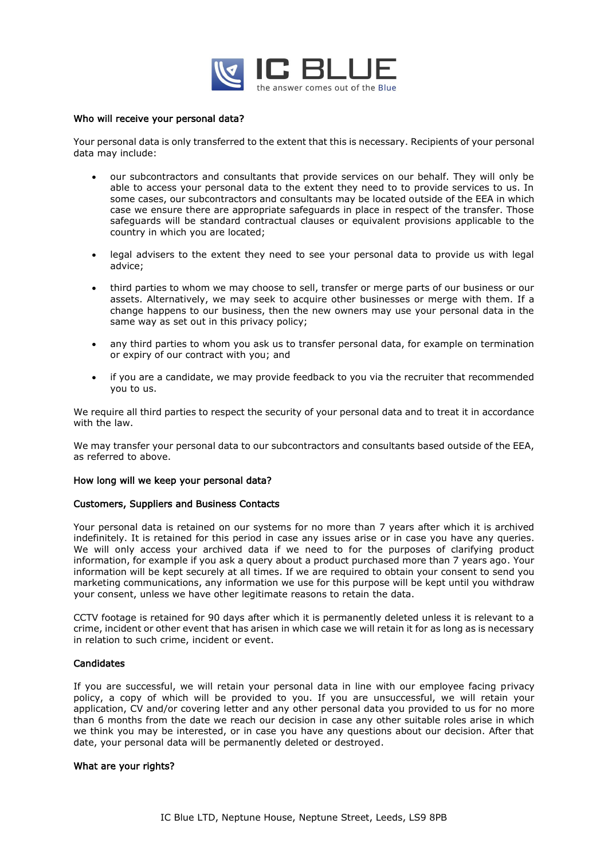

#### Who will receive your personal data?

Your personal data is only transferred to the extent that this is necessary. Recipients of your personal data may include:

- our subcontractors and consultants that provide services on our behalf. They will only be able to access your personal data to the extent they need to to provide services to us. In some cases, our subcontractors and consultants may be located outside of the EEA in which case we ensure there are appropriate safeguards in place in respect of the transfer. Those safeguards will be standard contractual clauses or equivalent provisions applicable to the country in which you are located;
- legal advisers to the extent they need to see your personal data to provide us with legal advice;
- third parties to whom we may choose to sell, transfer or merge parts of our business or our assets. Alternatively, we may seek to acquire other businesses or merge with them. If a change happens to our business, then the new owners may use your personal data in the same way as set out in this privacy policy;
- any third parties to whom you ask us to transfer personal data, for example on termination or expiry of our contract with you; and
- if you are a candidate, we may provide feedback to you via the recruiter that recommended you to us.

We require all third parties to respect the security of your personal data and to treat it in accordance with the law.

We may transfer your personal data to our subcontractors and consultants based outside of the EEA, as referred to above.

#### How long will we keep your personal data?

#### Customers, Suppliers and Business Contacts

Your personal data is retained on our systems for no more than 7 years after which it is archived indefinitely. It is retained for this period in case any issues arise or in case you have any queries. We will only access your archived data if we need to for the purposes of clarifying product information, for example if you ask a query about a product purchased more than 7 years ago. Your information will be kept securely at all times. If we are required to obtain your consent to send you marketing communications, any information we use for this purpose will be kept until you withdraw your consent, unless we have other legitimate reasons to retain the data.

CCTV footage is retained for 90 days after which it is permanently deleted unless it is relevant to a crime, incident or other event that has arisen in which case we will retain it for as long as is necessary in relation to such crime, incident or event.

# Candidates

If you are successful, we will retain your personal data in line with our employee facing privacy policy, a copy of which will be provided to you. If you are unsuccessful, we will retain your application, CV and/or covering letter and any other personal data you provided to us for no more than 6 months from the date we reach our decision in case any other suitable roles arise in which we think you may be interested, or in case you have any questions about our decision. After that date, your personal data will be permanently deleted or destroyed.

#### What are your rights?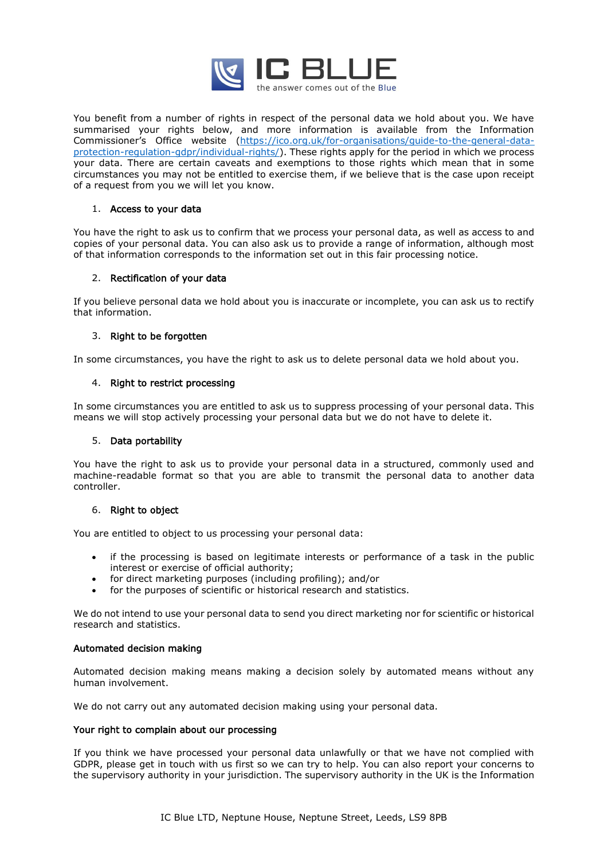

You benefit from a number of rights in respect of the personal data we hold about you. We have summarised your rights below, and more information is available from the Information Commissioner's Office website ([https://ico.org.uk/for-organisations/guide-to-the-general-data](https://ico.org.uk/for-organisations/guide-to-the-general-data-protection-regulation-gdpr/individual-rights/)[protection-regulation-gdpr/individual-rights/\)](https://ico.org.uk/for-organisations/guide-to-the-general-data-protection-regulation-gdpr/individual-rights/). These rights apply for the period in which we process your data. There are certain caveats and exemptions to those rights which mean that in some circumstances you may not be entitled to exercise them, if we believe that is the case upon receipt of a request from you we will let you know.

# 1. Access to your data

You have the right to ask us to confirm that we process your personal data, as well as access to and copies of your personal data. You can also ask us to provide a range of information, although most of that information corresponds to the information set out in this fair processing notice.

# 2. Rectification of your data

If you believe personal data we hold about you is inaccurate or incomplete, you can ask us to rectify that information.

# 3. Right to be forgotten

In some circumstances, you have the right to ask us to delete personal data we hold about you.

# 4. Right to restrict processing

In some circumstances you are entitled to ask us to suppress processing of your personal data. This means we will stop actively processing your personal data but we do not have to delete it.

# 5. Data portability

You have the right to ask us to provide your personal data in a structured, commonly used and machine-readable format so that you are able to transmit the personal data to another data controller.

# 6. Right to object

You are entitled to object to us processing your personal data:

- if the processing is based on legitimate interests or performance of a task in the public interest or exercise of official authority;
- for direct marketing purposes (including profiling); and/or
- for the purposes of scientific or historical research and statistics.

We do not intend to use your personal data to send you direct marketing nor for scientific or historical research and statistics.

# Automated decision making

Automated decision making means making a decision solely by automated means without any human involvement.

We do not carry out any automated decision making using your personal data.

# Your right to complain about our processing

If you think we have processed your personal data unlawfully or that we have not complied with GDPR, please get in touch with us first so we can try to help. You can also report your concerns to the supervisory authority in your jurisdiction. The supervisory authority in the UK is the Information